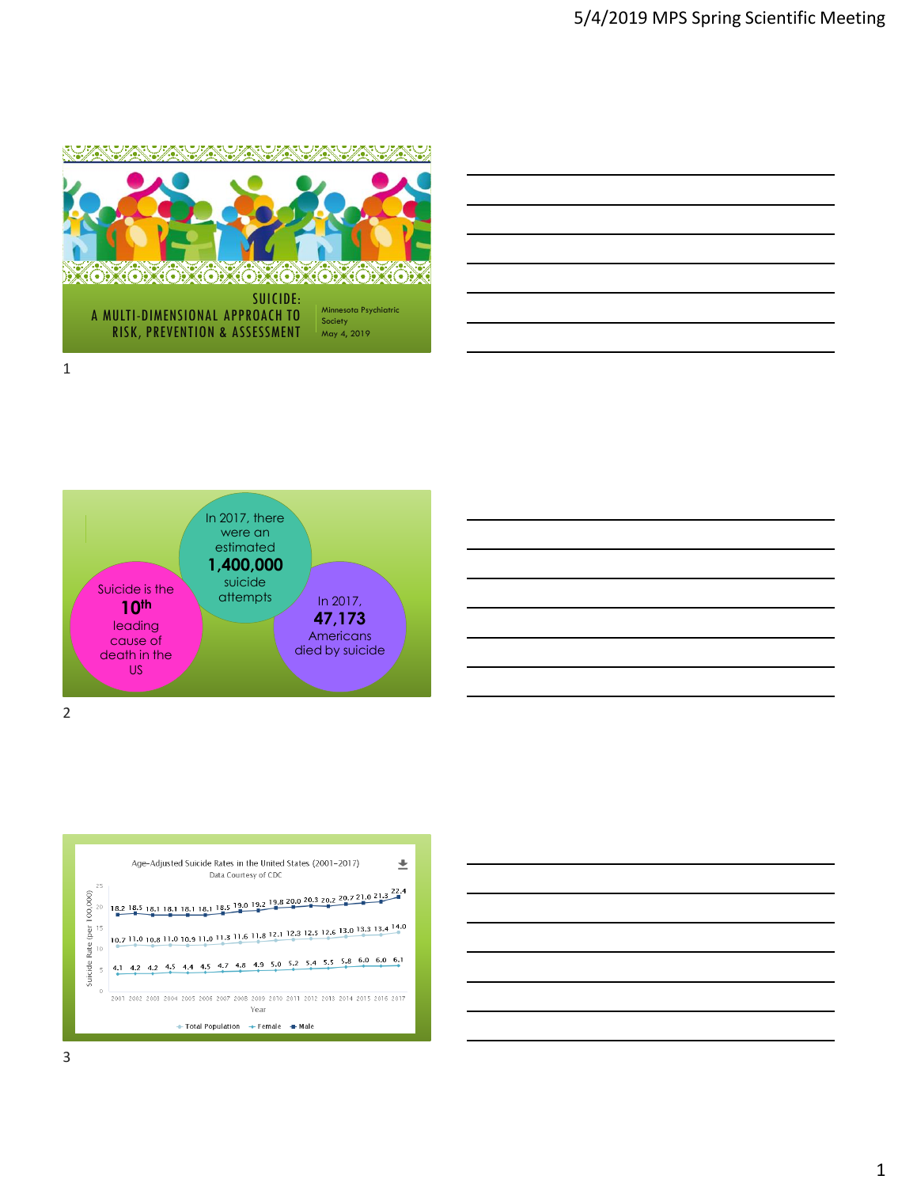





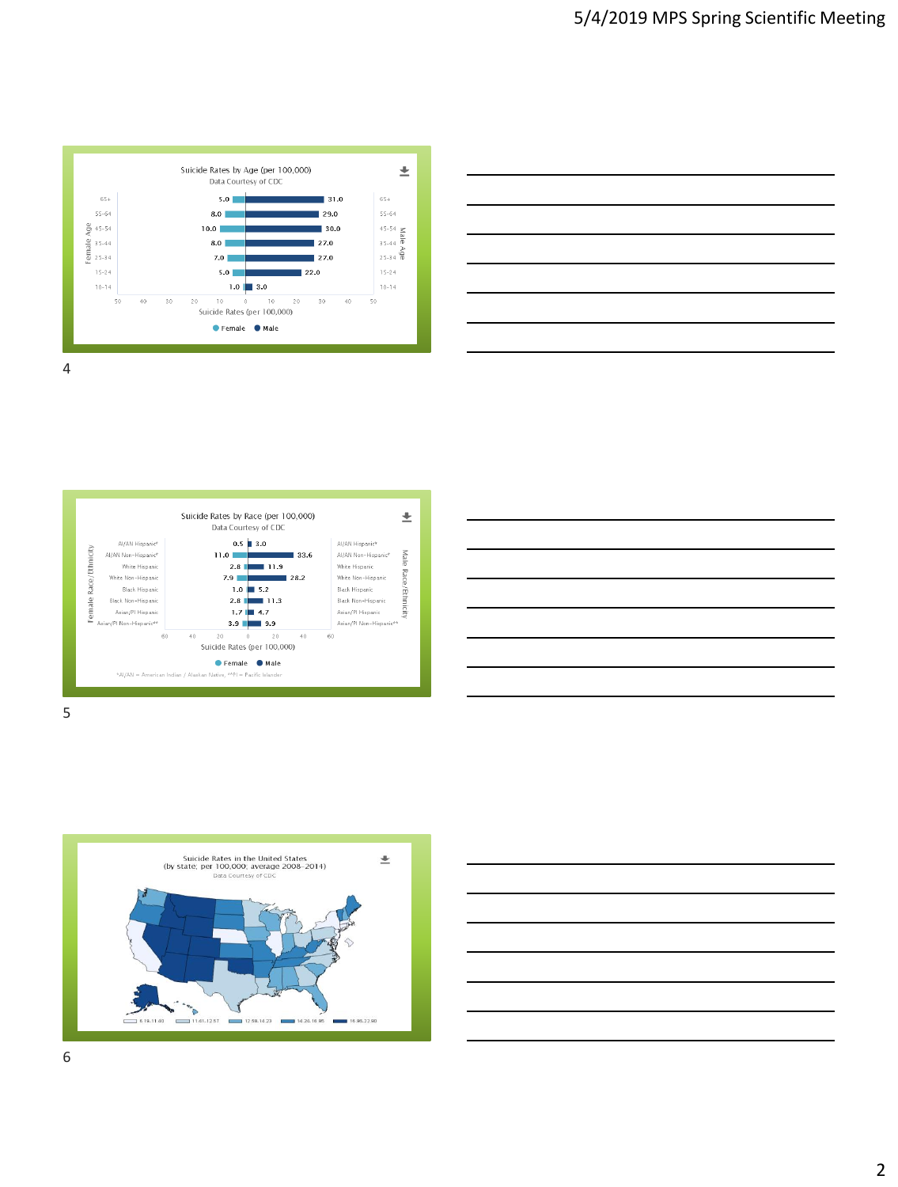

| ,我们也不会有什么?""我们的人,我们也不会有什么?""我们的人,我们也不会有什么?""我们的人,我们也不会有什么?""我们的人,我们也不会有什么?""我们的人 |  |  |
|----------------------------------------------------------------------------------|--|--|
|                                                                                  |  |  |
|                                                                                  |  |  |
|                                                                                  |  |  |
|                                                                                  |  |  |
|                                                                                  |  |  |

Suicide Rates by Race (per 100,000)  $\overline{\pm}$ Data Courtesy of CDC  $0.5 \parallel 3.0$ Al/AN Hispanic<sup>®</sup> Al/AN Hispanic<sup>e</sup> Race/Ethnicity Male Al/AN Non-Hispanic<sup>4</sup>  $11.0$ Al/AN Non-Hispanic 33.6  $2.8$   $\overline{1}$  11.9 White Hispani White Hispanic Race/Ethnicity White Non-Hisnani  $7.9$ White Non-Hispani 28.2 -<br>Rlack Hisnani  $1.0$  5.2 **Rlack Hispanic** 2.8 1.7 4.7 ale Black Non-Hispanic Black Non-Hispanic Asian/Pl Hispanio Asian/Pl Hispanic Asian/Pl Non-Hispanic\*  $3.9$   $\frac{1}{2}$  9.9 Asian/Pl Non-Hispan -60  $40$  $20$  $\overline{\mathcal{U}}$  $40$ 60 Suicide Rates (per 100,000) Female Male \*AI/AN = American Indian / Alaskan Native, \*\*Pl = Pacific Islande







5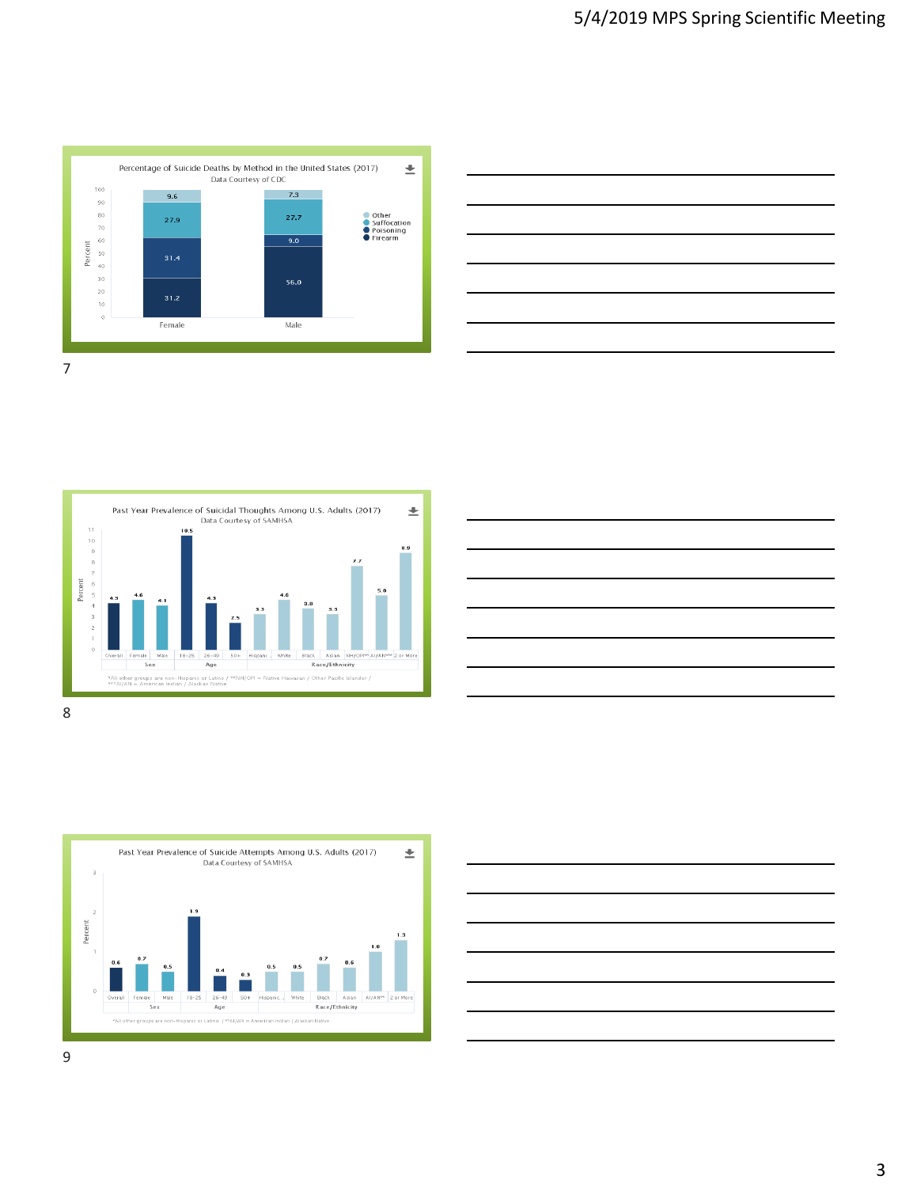











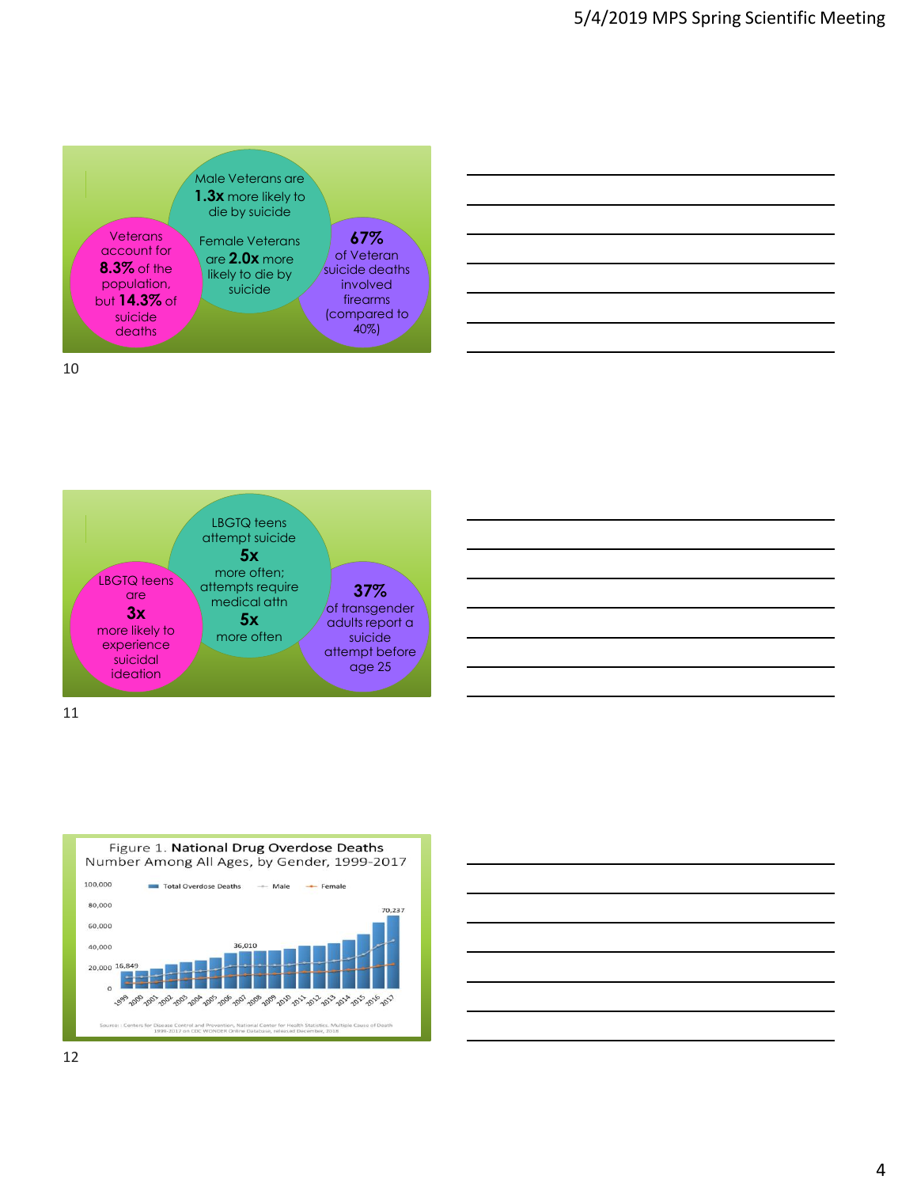







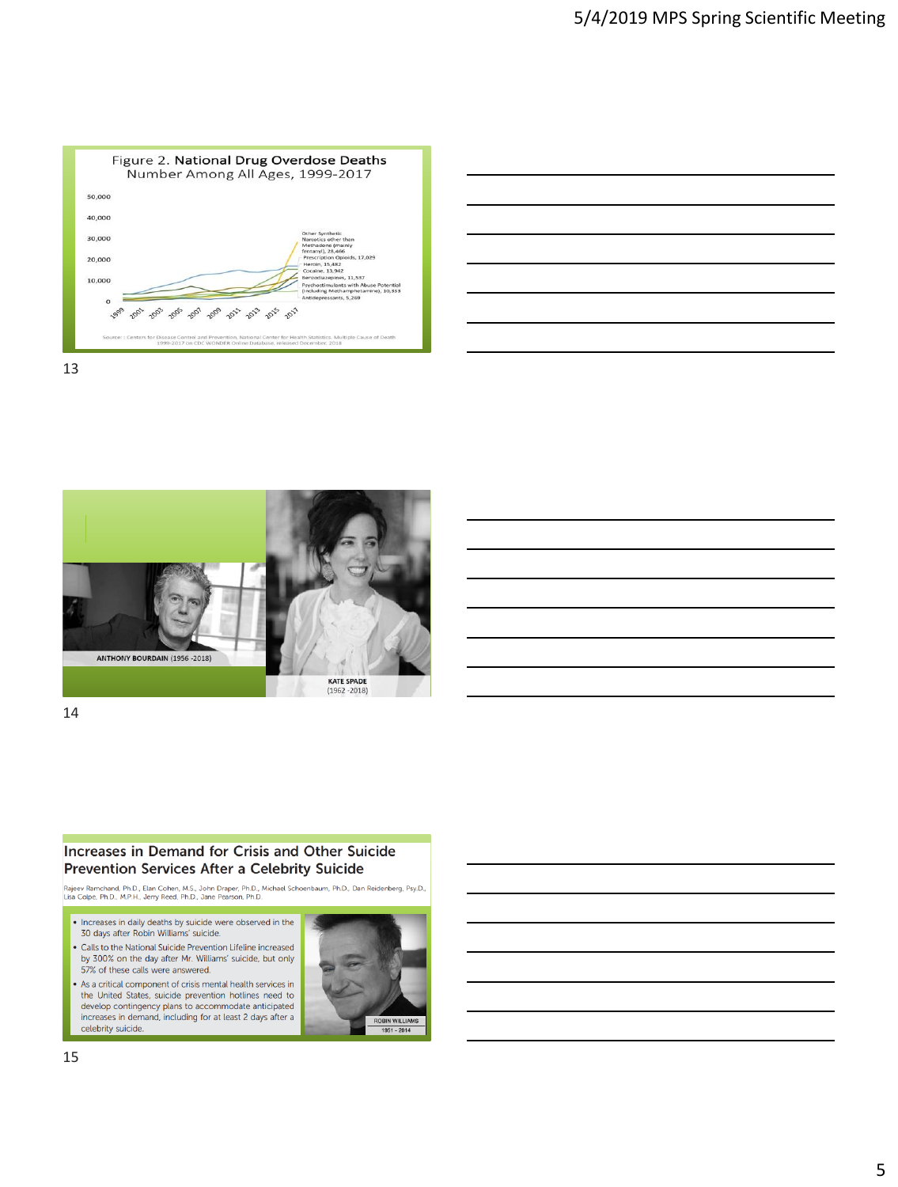

| the contract of the contract of the contract of the contract of the contract of |  |  |
|---------------------------------------------------------------------------------|--|--|
|                                                                                 |  |  |
|                                                                                 |  |  |
|                                                                                 |  |  |
|                                                                                 |  |  |





14

## **Increases in Demand for Crisis and Other Suicide** Prevention Services After a Celebrity Suicide

Rajeev Ramchand, Ph.D., Elan Cohen, M.S., John Draper, Ph.D., Michael Schoenbaum, Ph.D., Dan Reidenberg, Psy.D.,<br>Lisa Colpe, Ph.D., M.P.H., Jerry Reed, Ph.D., Jane Pearson, Ph.D.

. Increases in daily deaths by suicide were observed in the 30 days after Robin Williams' suicide. • Calls to the National Suicide Prevention Lifeline increased by 300% on the day after Mr. Williams' suicide, but only 57% of these calls were answered.

• As a critical component of crisis mental health services in the United States, suicide prevention hotlines need to<br>develop contingency plans to accommodate anticipated increases in demand, including for at least 2 days after a celebrity suicide.